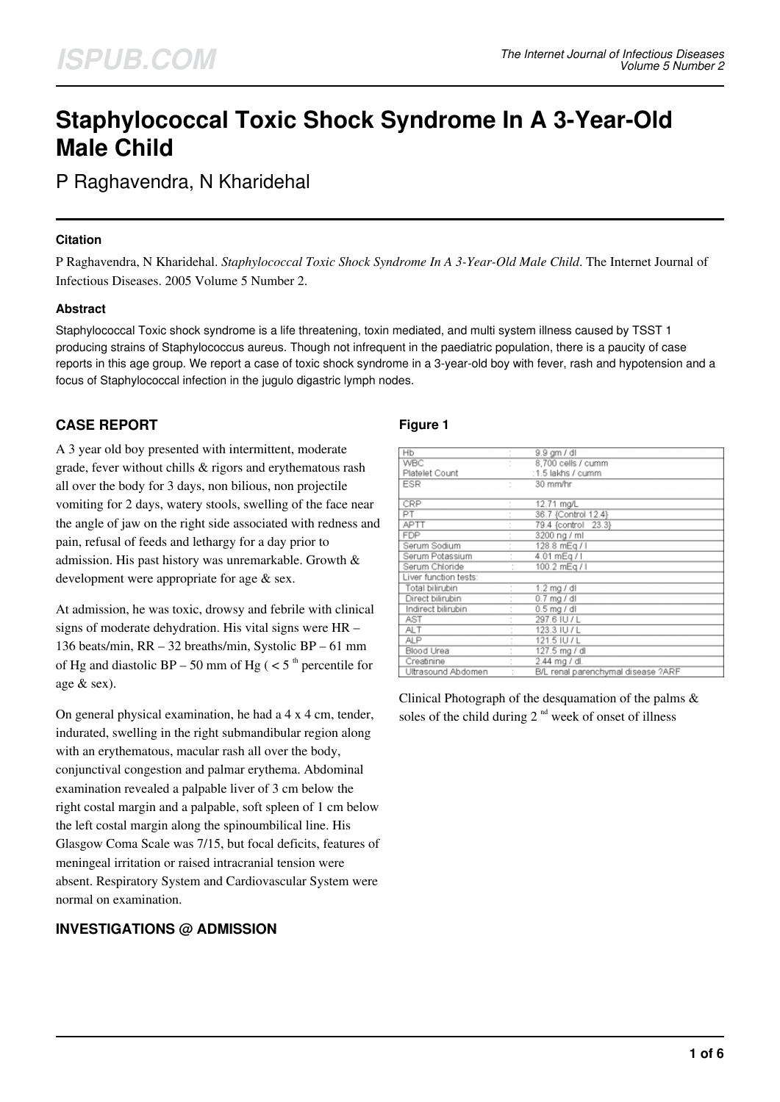# **Staphylococcal Toxic Shock Syndrome In A 3-Year-Old Male Child**

P Raghavendra, N Kharidehal

## **Citation**

P Raghavendra, N Kharidehal. *Staphylococcal Toxic Shock Syndrome In A 3-Year-Old Male Child*. The Internet Journal of Infectious Diseases. 2005 Volume 5 Number 2.

## **Abstract**

Staphylococcal Toxic shock syndrome is a life threatening, toxin mediated, and multi system illness caused by TSST 1 producing strains of Staphylococcus aureus. Though not infrequent in the paediatric population, there is a paucity of case reports in this age group. We report a case of toxic shock syndrome in a 3-year-old boy with fever, rash and hypotension and a focus of Staphylococcal infection in the jugulo digastric lymph nodes.

# **CASE REPORT**

A 3 year old boy presented with intermittent, moderate grade, fever without chills & rigors and erythematous rash all over the body for 3 days, non bilious, non projectile vomiting for 2 days, watery stools, swelling of the face near the angle of jaw on the right side associated with redness and pain, refusal of feeds and lethargy for a day prior to admission. His past history was unremarkable. Growth & development were appropriate for age & sex.

At admission, he was toxic, drowsy and febrile with clinical signs of moderate dehydration. His vital signs were HR – 136 beats/min, RR – 32 breaths/min, Systolic BP – 61 mm of Hg and diastolic BP – 50 mm of Hg ( $\lt 5$ <sup>th</sup> percentile for age & sex).

On general physical examination, he had a 4 x 4 cm, tender, indurated, swelling in the right submandibular region along with an erythematous, macular rash all over the body, conjunctival congestion and palmar erythema. Abdominal examination revealed a palpable liver of 3 cm below the right costal margin and a palpable, soft spleen of 1 cm below the left costal margin along the spinoumbilical line. His Glasgow Coma Scale was 7/15, but focal deficits, features of meningeal irritation or raised intracranial tension were absent. Respiratory System and Cardiovascular System were normal on examination.

# **INVESTIGATIONS @ ADMISSION**

#### **Figure 1**

| Hb                    |   | 9.9 gm / dl                        |  |
|-----------------------|---|------------------------------------|--|
| <b>WBC</b>            |   | 8.700 cells / cumm                 |  |
| Platelet Count        |   | :1.5 lakhs / cumm                  |  |
| <b>ESR</b>            |   | 30 mm/hr                           |  |
| CRP                   |   | 12.71 mg/L                         |  |
| PT                    |   | 36.7 {Control 12.4}                |  |
| <b>APTT</b>           |   | 79.4 {control 23.3}                |  |
| <b>FDP</b>            |   | 3200 ng / ml                       |  |
| Serum Sodium          | ÷ | 128.8 mEg / I                      |  |
| Serum Potassium       |   | 4.01 mEg / I                       |  |
| Serum Chloride        |   | 100.2 mEg / I                      |  |
| Liver function tests: |   |                                    |  |
| Total bilirubin       |   | $1.2$ mg / dl                      |  |
| Direct bilirubin      |   | $0.7$ mg $/$ dl                    |  |
| Indirect bilirubin    |   | $0.5$ mg / dl                      |  |
| AST                   |   | 297.6 IU / L                       |  |
| <b>ALT</b>            |   | 123.3 IU / L                       |  |
| <b>ALP</b>            |   | 121.5 IU / L                       |  |
| Blood Urea            |   | 127.5 mg / dl                      |  |
| Creatinine            |   | 2.44 mg / dl.                      |  |
| Ultrasound Abdomen    |   | B/L renal parenchymal disease ?ARF |  |

Clinical Photograph of the desquamation of the palms & soles of the child during  $2<sup>nd</sup>$  week of onset of illness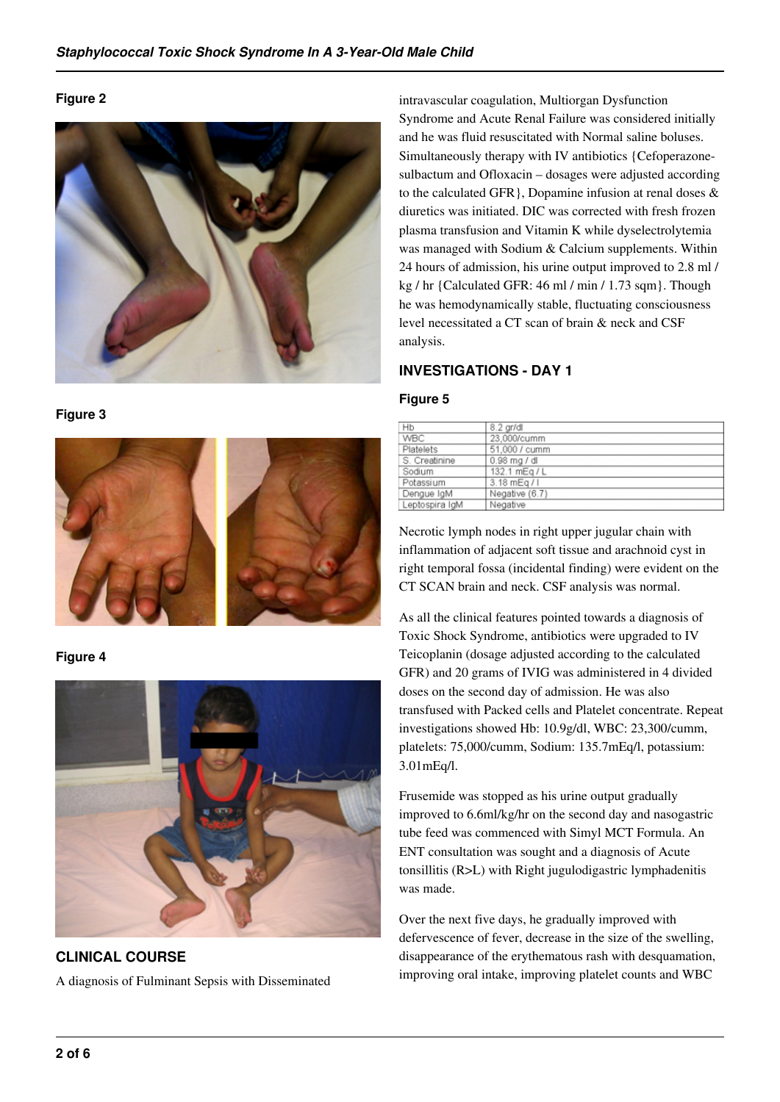## **Figure 2**



**Figure 3**



# **Figure 4**



**CLINICAL COURSE** A diagnosis of Fulminant Sepsis with Disseminated

intravascular coagulation, Multiorgan Dysfunction Syndrome and Acute Renal Failure was considered initially and he was fluid resuscitated with Normal saline boluses. Simultaneously therapy with IV antibiotics {Cefoperazonesulbactum and Ofloxacin – dosages were adjusted according to the calculated GFR}, Dopamine infusion at renal doses & diuretics was initiated. DIC was corrected with fresh frozen plasma transfusion and Vitamin K while dyselectrolytemia was managed with Sodium & Calcium supplements. Within 24 hours of admission, his urine output improved to 2.8 ml / kg / hr {Calculated GFR: 46 ml / min / 1.73 sqm}. Though he was hemodynamically stable, fluctuating consciousness level necessitated a CT scan of brain & neck and CSF analysis.

# **INVESTIGATIONS - DAY 1**

## **Figure 5**

| Hb             | 8.2 gr/dl      |
|----------------|----------------|
| WBC            | 23,000/cumm    |
| Platelets      | 51,000 / cumm  |
| S. Creatinine  | $0.98$ mg / dl |
| Sodium         | 132.1 mEg / L  |
| Potassium      | 3.18 mEg / I   |
| Dengue IgM     | Negative (6.7) |
| Leptospira IgM | Negative       |

Necrotic lymph nodes in right upper jugular chain with inflammation of adjacent soft tissue and arachnoid cyst in right temporal fossa (incidental finding) were evident on the CT SCAN brain and neck. CSF analysis was normal.

As all the clinical features pointed towards a diagnosis of Toxic Shock Syndrome, antibiotics were upgraded to IV Teicoplanin (dosage adjusted according to the calculated GFR) and 20 grams of IVIG was administered in 4 divided doses on the second day of admission. He was also transfused with Packed cells and Platelet concentrate. Repeat investigations showed Hb: 10.9g/dl, WBC: 23,300/cumm, platelets: 75,000/cumm, Sodium: 135.7mEq/l, potassium: 3.01mEq/l.

Frusemide was stopped as his urine output gradually improved to 6.6ml/kg/hr on the second day and nasogastric tube feed was commenced with Simyl MCT Formula. An ENT consultation was sought and a diagnosis of Acute tonsillitis (R>L) with Right jugulodigastric lymphadenitis was made.

Over the next five days, he gradually improved with defervescence of fever, decrease in the size of the swelling, disappearance of the erythematous rash with desquamation, improving oral intake, improving platelet counts and WBC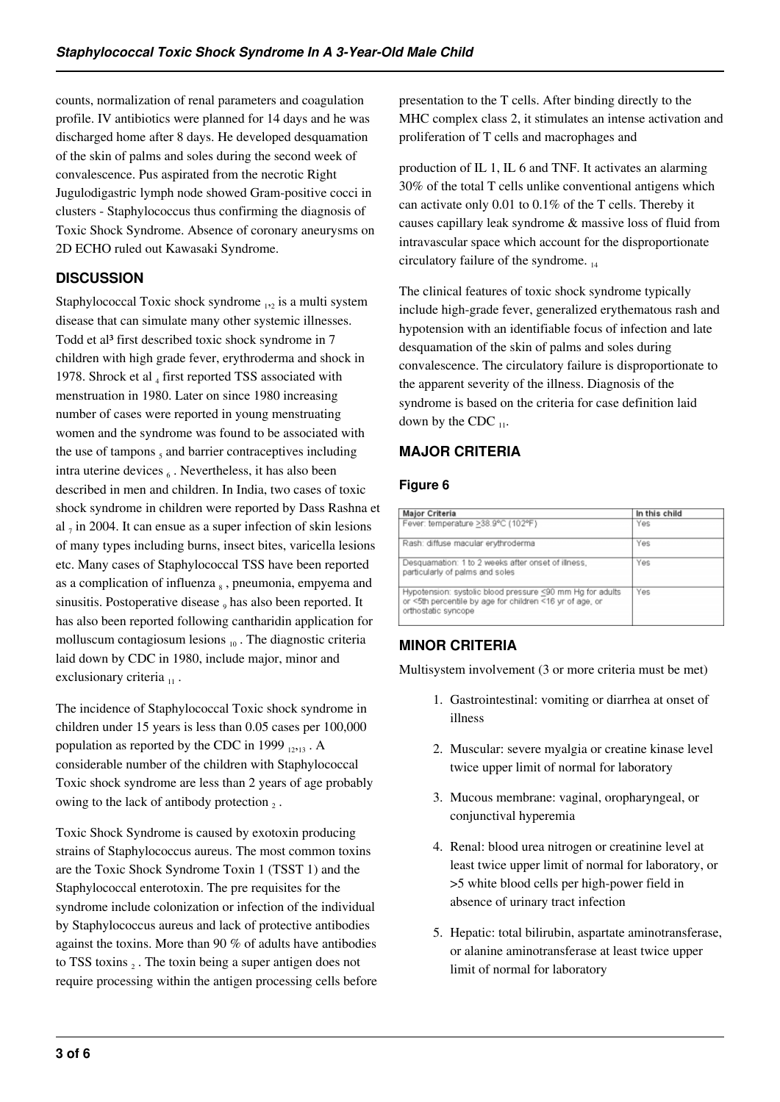counts, normalization of renal parameters and coagulation profile. IV antibiotics were planned for 14 days and he was discharged home after 8 days. He developed desquamation of the skin of palms and soles during the second week of convalescence. Pus aspirated from the necrotic Right Jugulodigastric lymph node showed Gram-positive cocci in clusters - Staphylococcus thus confirming the diagnosis of Toxic Shock Syndrome. Absence of coronary aneurysms on 2D ECHO ruled out Kawasaki Syndrome.

# **DISCUSSION**

Staphylococcal Toxic shock syndrome  $_{12}$  is a multi system disease that can simulate many other systemic illnesses. Todd et al<sup>3</sup> first described toxic shock syndrome in 7 children with high grade fever, erythroderma and shock in 1978. Shrock et al  $_4$  first reported TSS associated with menstruation in 1980. Later on since 1980 increasing number of cases were reported in young menstruating women and the syndrome was found to be associated with the use of tampons  $<sub>5</sub>$  and barrier contraceptives including</sub> intra uterine devices 6. Nevertheless, it has also been described in men and children. In India, two cases of toxic shock syndrome in children were reported by Dass Rashna et al  $_7$  in 2004. It can ensue as a super infection of skin lesions of many types including burns, insect bites, varicella lesions etc. Many cases of Staphylococcal TSS have been reported as a complication of influenza  $_8$ , pneumonia, empyema and sinusitis. Postoperative disease <sub>9</sub> has also been reported. It has also been reported following cantharidin application for molluscum contagiosum lesions  $_{10}$ . The diagnostic criteria laid down by CDC in 1980, include major, minor and exclusionary criteria  $_{11}$ .

The incidence of Staphylococcal Toxic shock syndrome in children under 15 years is less than 0.05 cases per 100,000 population as reported by the CDC in 1999  $_{12:13}$ . A considerable number of the children with Staphylococcal Toxic shock syndrome are less than 2 years of age probably owing to the lack of antibody protection  $_2$ .

Toxic Shock Syndrome is caused by exotoxin producing strains of Staphylococcus aureus. The most common toxins are the Toxic Shock Syndrome Toxin 1 (TSST 1) and the Staphylococcal enterotoxin. The pre requisites for the syndrome include colonization or infection of the individual by Staphylococcus aureus and lack of protective antibodies against the toxins. More than 90 % of adults have antibodies to TSS toxins  $_2$ . The toxin being a super antigen does not require processing within the antigen processing cells before presentation to the T cells. After binding directly to the MHC complex class 2, it stimulates an intense activation and proliferation of T cells and macrophages and

production of IL 1, IL 6 and TNF. It activates an alarming 30% of the total T cells unlike conventional antigens which can activate only 0.01 to 0.1% of the T cells. Thereby it causes capillary leak syndrome & massive loss of fluid from intravascular space which account for the disproportionate circulatory failure of the syndrome.  $_{14}$ 

The clinical features of toxic shock syndrome typically include high-grade fever, generalized erythematous rash and hypotension with an identifiable focus of infection and late desquamation of the skin of palms and soles during convalescence. The circulatory failure is disproportionate to the apparent severity of the illness. Diagnosis of the syndrome is based on the criteria for case definition laid down by the CDC  $_{11}$ .

# **MAJOR CRITERIA**

# **Figure 6**

| Major Criteria                                                                                                                               | In this child |
|----------------------------------------------------------------------------------------------------------------------------------------------|---------------|
| Fever: temperature >38.9°C (102°F)                                                                                                           | Yes           |
| Rash: diffuse macular erythroderma                                                                                                           | Yes           |
| Desquamation: 1 to 2 weeks after onset of illness,<br>particularly of palms and soles                                                        | Yes           |
| Hypotension: systolic blood pressure <90 mm Hg for adults<br>or <5th percentile by age for children <16 yr of age, or<br>orthostatic syncope | Yes           |

# **MINOR CRITERIA**

Multisystem involvement (3 or more criteria must be met)

- 1. Gastrointestinal: vomiting or diarrhea at onset of illness
- 2. Muscular: severe myalgia or creatine kinase level twice upper limit of normal for laboratory
- 3. Mucous membrane: vaginal, oropharyngeal, or conjunctival hyperemia
- 4. Renal: blood urea nitrogen or creatinine level at least twice upper limit of normal for laboratory, or >5 white blood cells per high-power field in absence of urinary tract infection
- 5. Hepatic: total bilirubin, aspartate aminotransferase, or alanine aminotransferase at least twice upper limit of normal for laboratory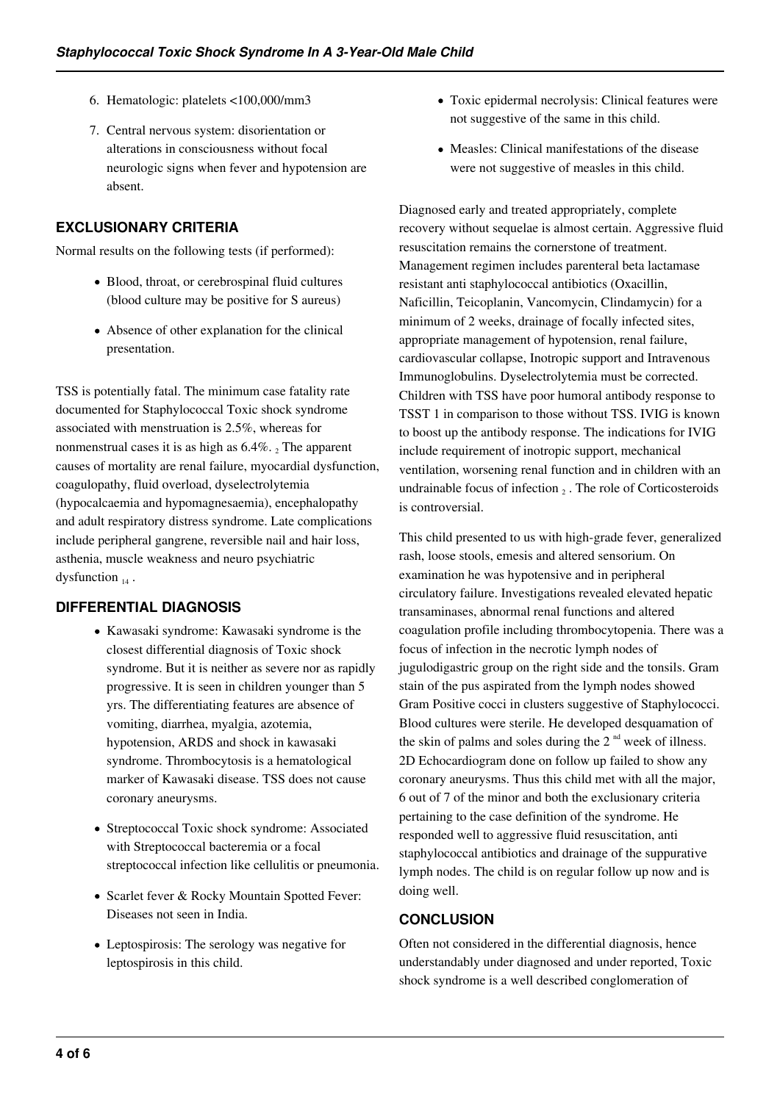- 6. Hematologic: platelets <100,000/mm3
- 7. Central nervous system: disorientation or alterations in consciousness without focal neurologic signs when fever and hypotension are absent.

# **EXCLUSIONARY CRITERIA**

Normal results on the following tests (if performed):

- Blood, throat, or cerebrospinal fluid cultures (blood culture may be positive for S aureus)
- Absence of other explanation for the clinical presentation.

TSS is potentially fatal. The minimum case fatality rate documented for Staphylococcal Toxic shock syndrome associated with menstruation is 2.5%, whereas for nonmenstrual cases it is as high as  $6.4\%$ . 2 The apparent causes of mortality are renal failure, myocardial dysfunction, coagulopathy, fluid overload, dyselectrolytemia (hypocalcaemia and hypomagnesaemia), encephalopathy and adult respiratory distress syndrome. Late complications include peripheral gangrene, reversible nail and hair loss, asthenia, muscle weakness and neuro psychiatric dysfunction  $_{14}$ .

# **DIFFERENTIAL DIAGNOSIS**

- Kawasaki syndrome: Kawasaki syndrome is the closest differential diagnosis of Toxic shock syndrome. But it is neither as severe nor as rapidly progressive. It is seen in children younger than 5 yrs. The differentiating features are absence of vomiting, diarrhea, myalgia, azotemia, hypotension, ARDS and shock in kawasaki syndrome. Thrombocytosis is a hematological marker of Kawasaki disease. TSS does not cause coronary aneurysms.
- Streptococcal Toxic shock syndrome: Associated with Streptococcal bacteremia or a focal streptococcal infection like cellulitis or pneumonia.
- Scarlet fever & Rocky Mountain Spotted Fever: Diseases not seen in India.
- Leptospirosis: The serology was negative for leptospirosis in this child.
- Toxic epidermal necrolysis: Clinical features were not suggestive of the same in this child.
- Measles: Clinical manifestations of the disease were not suggestive of measles in this child.

Diagnosed early and treated appropriately, complete recovery without sequelae is almost certain. Aggressive fluid resuscitation remains the cornerstone of treatment. Management regimen includes parenteral beta lactamase resistant anti staphylococcal antibiotics (Oxacillin, Naficillin, Teicoplanin, Vancomycin, Clindamycin) for a minimum of 2 weeks, drainage of focally infected sites, appropriate management of hypotension, renal failure, cardiovascular collapse, Inotropic support and Intravenous Immunoglobulins. Dyselectrolytemia must be corrected. Children with TSS have poor humoral antibody response to TSST 1 in comparison to those without TSS. IVIG is known to boost up the antibody response. The indications for IVIG include requirement of inotropic support, mechanical ventilation, worsening renal function and in children with an undrainable focus of infection  $_2$ . The role of Corticosteroids is controversial.

This child presented to us with high-grade fever, generalized rash, loose stools, emesis and altered sensorium. On examination he was hypotensive and in peripheral circulatory failure. Investigations revealed elevated hepatic transaminases, abnormal renal functions and altered coagulation profile including thrombocytopenia. There was a focus of infection in the necrotic lymph nodes of jugulodigastric group on the right side and the tonsils. Gram stain of the pus aspirated from the lymph nodes showed Gram Positive cocci in clusters suggestive of Staphylococci. Blood cultures were sterile. He developed desquamation of the skin of palms and soles during the  $2<sup>nd</sup>$  week of illness. 2D Echocardiogram done on follow up failed to show any coronary aneurysms. Thus this child met with all the major, 6 out of 7 of the minor and both the exclusionary criteria pertaining to the case definition of the syndrome. He responded well to aggressive fluid resuscitation, anti staphylococcal antibiotics and drainage of the suppurative lymph nodes. The child is on regular follow up now and is doing well.

# **CONCLUSION**

Often not considered in the differential diagnosis, hence understandably under diagnosed and under reported, Toxic shock syndrome is a well described conglomeration of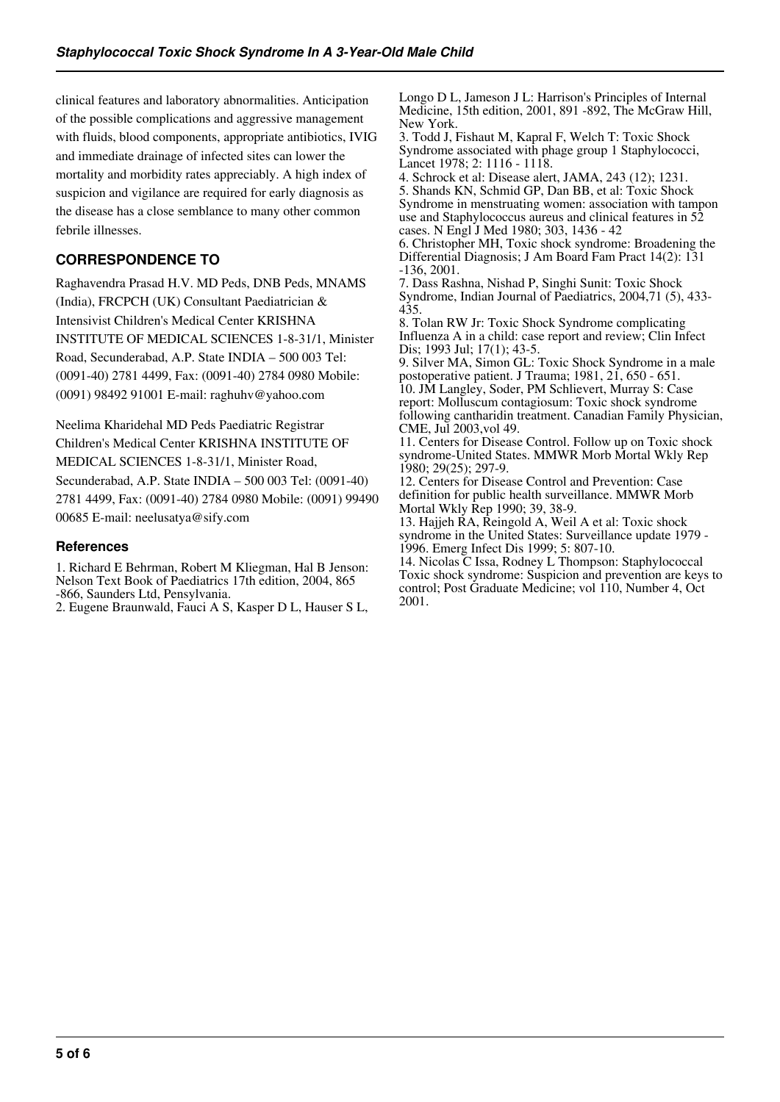clinical features and laboratory abnormalities. Anticipation of the possible complications and aggressive management with fluids, blood components, appropriate antibiotics, IVIG and immediate drainage of infected sites can lower the mortality and morbidity rates appreciably. A high index of suspicion and vigilance are required for early diagnosis as the disease has a close semblance to many other common febrile illnesses.

# **CORRESPONDENCE TO**

Raghavendra Prasad H.V. MD Peds, DNB Peds, MNAMS (India), FRCPCH (UK) Consultant Paediatrician & Intensivist Children's Medical Center KRISHNA INSTITUTE OF MEDICAL SCIENCES 1-8-31/1, Minister Road, Secunderabad, A.P. State INDIA – 500 003 Tel: (0091-40) 2781 4499, Fax: (0091-40) 2784 0980 Mobile: (0091) 98492 91001 E-mail: raghuhv@yahoo.com

Neelima Kharidehal MD Peds Paediatric Registrar Children's Medical Center KRISHNA INSTITUTE OF MEDICAL SCIENCES 1-8-31/1, Minister Road, Secunderabad, A.P. State INDIA – 500 003 Tel: (0091-40) 2781 4499, Fax: (0091-40) 2784 0980 Mobile: (0091) 99490 00685 E-mail: neelusatya@sify.com

#### **References**

1. Richard E Behrman, Robert M Kliegman, Hal B Jenson: Nelson Text Book of Paediatrics 17th edition, 2004, 865 -866, Saunders Ltd, Pensylvania.

2. Eugene Braunwald, Fauci A S, Kasper D L, Hauser S L,

Longo D L, Jameson J L: Harrison's Principles of Internal Medicine, 15th edition, 2001, 891 -892, The McGraw Hill, New York.

3. Todd J, Fishaut M, Kapral F, Welch T: Toxic Shock Syndrome associated with phage group 1 Staphylococci, Lancet 1978; 2: 1116 - 1118.

4. Schrock et al: Disease alert, JAMA, 243 (12); 1231. 5. Shands KN, Schmid GP, Dan BB, et al: Toxic Shock Syndrome in menstruating women: association with tampon use and Staphylococcus aureus and clinical features in 52 cases. N Engl J Med 1980; 303, 1436 - 42

6. Christopher MH, Toxic shock syndrome: Broadening the Differential Diagnosis; J Am Board Fam Pract 14(2): 131 -136, 2001.

7. Dass Rashna, Nishad P, Singhi Sunit: Toxic Shock Syndrome, Indian Journal of Paediatrics, 2004,71 (5), 433- 435.

8. Tolan RW Jr: Toxic Shock Syndrome complicating Influenza A in a child: case report and review; Clin Infect Dis; 1993 Jul; 17(1); 43-5.

9. Silver MA, Simon GL: Toxic Shock Syndrome in a male postoperative patient. J Trauma; 1981, 21, 650 - 651. 10. JM Langley, Soder, PM Schlievert, Murray S: Case report: Molluscum contagiosum: Toxic shock syndrome following cantharidin treatment. Canadian Family Physician, CME, Jul 2003,vol 49.

11. Centers for Disease Control. Follow up on Toxic shock syndrome-United States. MMWR Morb Mortal Wkly Rep 1980; 29(25); 297-9.

12. Centers for Disease Control and Prevention: Case definition for public health surveillance. MMWR Morb Mortal Wkly Rep 1990; 39, 38-9.

13. Hajjeh RA, Reingold A, Weil A et al: Toxic shock syndrome in the United States: Surveillance update 1979 - 1996. Emerg Infect Dis 1999; 5: 807-10.

14. Nicolas C Issa, Rodney L Thompson: Staphylococcal Toxic shock syndrome: Suspicion and prevention are keys to control; Post Graduate Medicine; vol 110, Number 4, Oct 2001.